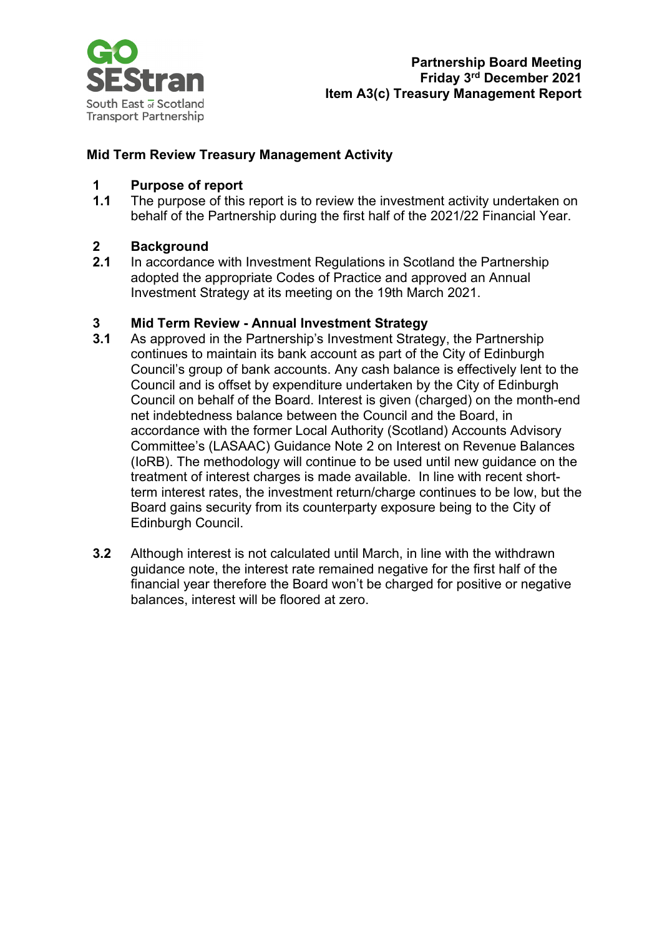

#### **Mid Term Review Treasury Management Activity**

## **1 Purpose of report**

The purpose of this report is to review the investment activity undertaken on behalf of the Partnership during the first half of the 2021/22 Financial Year.

## **2 Background**

**2.1** In accordance with Investment Regulations in Scotland the Partnership adopted the appropriate Codes of Practice and approved an Annual Investment Strategy at its meeting on the 19th March 2021.

#### **3 Mid Term Review - Annual Investment Strategy**

- **3.1** As approved in the Partnership's Investment Strategy, the Partnership continues to maintain its bank account as part of the City of Edinburgh Council's group of bank accounts. Any cash balance is effectively lent to the Council and is offset by expenditure undertaken by the City of Edinburgh Council on behalf of the Board. Interest is given (charged) on the month-end net indebtedness balance between the Council and the Board, in accordance with the former Local Authority (Scotland) Accounts Advisory Committee's (LASAAC) Guidance Note 2 on Interest on Revenue Balances (IoRB). The methodology will continue to be used until new guidance on the treatment of interest charges is made available. In line with recent shortterm interest rates, the investment return/charge continues to be low, but the Board gains security from its counterparty exposure being to the City of Edinburgh Council.
- **3.2** Although interest is not calculated until March, in line with the withdrawn guidance note, the interest rate remained negative for the first half of the financial year therefore the Board won't be charged for positive or negative balances, interest will be floored at zero.